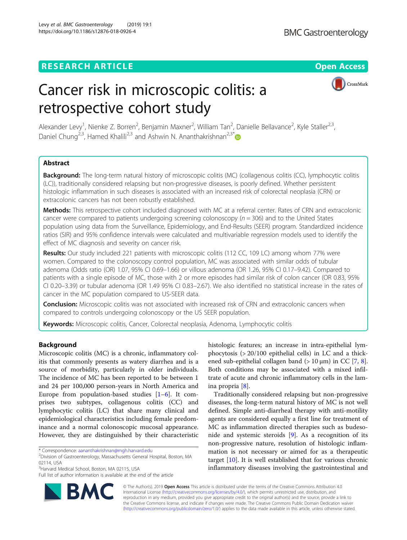CrossMark

# Cancer risk in microscopic colitis: a retrospective cohort study

Alexander Levy<sup>1</sup>, Nienke Z. Borren<sup>2</sup>, Benjamin Maxner<sup>2</sup>, William Tan<sup>2</sup>, Danielle Bellavance<sup>2</sup>, Kyle Staller<sup>2,3</sup>, Daniel Chung<sup>2,3</sup>, Hamed Khalili<sup>2,3</sup> and Ashwin N. Ananthakrishnan<sup>2,3\*</sup>

# Abstract

Background: The long-term natural history of microscopic colitis (MC) (collagenous colitis (CC), lymphocytic colitis (LC)), traditionally considered relapsing but non-progressive diseases, is poorly defined. Whether persistent histologic inflammation in such diseases is associated with an increased risk of colorectal neoplasia (CRN) or extracolonic cancers has not been robustly established.

Methods: This retrospective cohort included diagnosed with MC at a referral center. Rates of CRN and extracolonic cancer were compared to patients undergoing screening colonoscopy ( $n = 306$ ) and to the United States population using data from the Surveillance, Epidemiology, and End-Results (SEER) program. Standardized incidence ratios (SIR) and 95% confidence intervals were calculated and multivariable regression models used to identify the effect of MC diagnosis and severity on cancer risk.

Results: Our study included 221 patients with microscopic colitis (112 CC, 109 LC) among whom 77% were women. Compared to the colonoscopy control population, MC was associated with similar odds of tubular adenoma (Odds ratio (OR) 1.07, 95% CI 0.69–1.66) or villous adenoma (OR 1.26, 95% CI 0.17–9.42). Compared to patients with a single episode of MC, those with 2 or more episodes had similar risk of colon cancer (OR 0.83, 95% CI 0.20–3.39) or tubular adenoma (OR 1.49 95% CI 0.83–2.67). We also identified no statistical increase in the rates of cancer in the MC population compared to US-SEER data.

**Conclusion:** Microscopic colitis was not associated with increased risk of CRN and extracolonic cancers when compared to controls undergoing colonoscopy or the US SEER population.

Keywords: Microscopic colitis, Cancer, Colorectal neoplasia, Adenoma, Lymphocytic colitis

# Background

Microscopic colitis (MC) is a chronic, inflammatory colitis that commonly presents as watery diarrhea and is a source of morbidity, particularly in older individuals. The incidence of MC has been reported to be between 1 and 24 per 100,000 person-years in North America and Europe from population-based studies  $[1-6]$  $[1-6]$  $[1-6]$  $[1-6]$ . It comprises two subtypes, collagenous colitis (CC) and lymphocytic colitis (LC) that share many clinical and epidemiological characteristics including female predominance and a normal colonoscopic mucosal appearance. However, they are distinguished by their characteristic



ina propria [\[8\]](#page-5-0).

non-progressive nature, resolution of histologic inflammation is not necessary or aimed for as a therapeutic target [[10\]](#page-5-0). It is well established that for various chronic inflammatory diseases involving the gastrointestinal and

histologic features; an increase in intra-epithelial lymphocytosis (> 20/100 epithelial cells) in LC and a thickened sub-epithelial collagen band  $(>10 \,\mu m)$  in CC [\[7](#page-5-0), [8](#page-5-0)]. Both conditions may be associated with a mixed infiltrate of acute and chronic inflammatory cells in the lam-



© The Author(s). 2019 Open Access This article is distributed under the terms of the Creative Commons Attribution 4.0 International License [\(http://creativecommons.org/licenses/by/4.0/](http://creativecommons.org/licenses/by/4.0/)), which permits unrestricted use, distribution, and reproduction in any medium, provided you give appropriate credit to the original author(s) and the source, provide a link to the Creative Commons license, and indicate if changes were made. The Creative Commons Public Domain Dedication waiver [\(http://creativecommons.org/publicdomain/zero/1.0/](http://creativecommons.org/publicdomain/zero/1.0/)) applies to the data made available in this article, unless otherwise stated.

<sup>\*</sup> Correspondence: [aananthakrishnan@mgh.harvard.edu](mailto:aananthakrishnan@mgh.harvard.edu) <sup>2</sup>

Division of Gastroenterology, Massachusetts General Hospital, Boston, MA 02114, USA

<sup>&</sup>lt;sup>3</sup>Harvard Medical School, Boston, MA 02115, USA

Full list of author information is available at the end of the article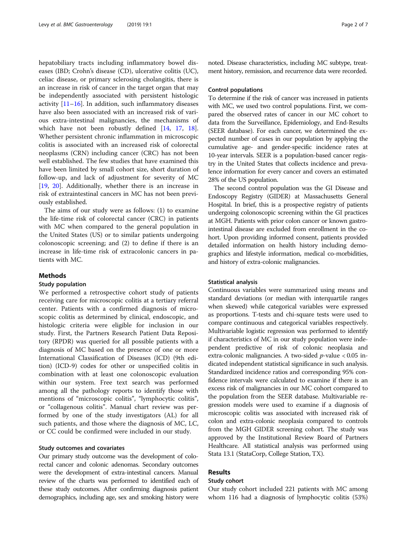hepatobiliary tracts including inflammatory bowel diseases (IBD; Crohn's disease (CD), ulcerative colitis (UC), celiac disease, or primary sclerosing cholangitis, there is an increase in risk of cancer in the target organ that may be independently associated with persistent histologic activity  $[11–16]$  $[11–16]$  $[11–16]$ . In addition, such inflammatory diseases have also been associated with an increased risk of various extra-intestinal malignancies, the mechanisms of which have not been robustly defined [\[14](#page-5-0), [17,](#page-5-0) [18](#page-5-0)]. Whether persistent chronic inflammation in microscopic colitis is associated with an increased risk of colorectal neoplasms (CRN) including cancer (CRC) has not been well established. The few studies that have examined this have been limited by small cohort size, short duration of follow-up, and lack of adjustment for severity of MC [[19,](#page-5-0) [20\]](#page-5-0). Additionally, whether there is an increase in risk of extraintestinal cancers in MC has not been previously established.

The aims of our study were as follows: (1) to examine the life-time risk of colorectal cancer (CRC) in patients with MC when compared to the general population in the United States (US) or to similar patients undergoing colonoscopic screening; and (2) to define if there is an increase in life-time risk of extracolonic cancers in patients with MC.

## Methods

## Study population

We performed a retrospective cohort study of patients receiving care for microscopic colitis at a tertiary referral center. Patients with a confirmed diagnosis of microscopic colitis as determined by clinical, endoscopic, and histologic criteria were eligible for inclusion in our study. First, the Partners Research Patient Data Repository (RPDR) was queried for all possible patients with a diagnosis of MC based on the presence of one or more International Classification of Diseases (ICD) (9th edition) (ICD-9) codes for other or unspecified colitis in combination with at least one colonoscopic evaluation within our system. Free text search was performed among all the pathology reports to identify those with mentions of "microscopic colitis", "lymphocytic colitis", or "collagenous colitis". Manual chart review was performed by one of the study investigators (AL) for all such patients, and those where the diagnosis of MC, LC, or CC could be confirmed were included in our study.

## Study outcomes and covariates

Our primary study outcome was the development of colorectal cancer and colonic adenomas. Secondary outcomes were the development of extra-intestinal cancers. Manual review of the charts was performed to identified each of these study outcomes. After confirming diagnosis patient demographics, including age, sex and smoking history were

noted. Disease characteristics, including MC subtype, treatment history, remission, and recurrence data were recorded.

## Control populations

To determine if the risk of cancer was increased in patients with MC, we used two control populations. First, we compared the observed rates of cancer in our MC cohort to data from the Surveillance, Epidemiology, and End-Results (SEER database). For each cancer, we determined the expected number of cases in our population by applying the cumulative age- and gender-specific incidence rates at 10-year intervals. SEER is a population-based cancer registry in the United States that collects incidence and prevalence information for every cancer and covers an estimated 28% of the US population.

The second control population was the GI Disease and Endoscopy Registry (GIDER) at Massachusetts General Hospital. In brief, this is a prospective registry of patients undergoing colonoscopic screening within the GI practices at MGH. Patients with prior colon cancer or known gastrointestinal disease are excluded from enrollment in the cohort. Upon providing informed consent, patients provided detailed information on health history including demographics and lifestyle information, medical co-morbidities, and history of extra-colonic malignancies.

#### Statistical analysis

Continuous variables were summarized using means and standard deviations (or median with interquartile ranges when skewed) while categorical variables were expressed as proportions. T-tests and chi-square tests were used to compare continuous and categorical variables respectively. Multivariable logistic regression was performed to identify if characteristics of MC in our study population were independent predictive of risk of colonic neoplasia and extra-colonic malignancies. A two-sided  $p$ -value  $< 0.05$  indicated independent statistical significance in such analysis. Standardized incidence ratios and corresponding 95% confidence intervals were calculated to examine if there is an excess risk of malignancies in our MC cohort compared to the population from the SEER database. Multivariable regression models were used to examine if a diagnosis of microscopic colitis was associated with increased risk of colon and extra-colonic neoplasia compared to controls from the MGH GIDER screening cohort. The study was approved by the Institutional Review Board of Partners Healthcare. All statistical analysis was performed using Stata 13.1 (StataCorp, College Station, TX).

## Results

## Study cohort

Our study cohort included 221 patients with MC among whom 116 had a diagnosis of lymphocytic colitis (53%)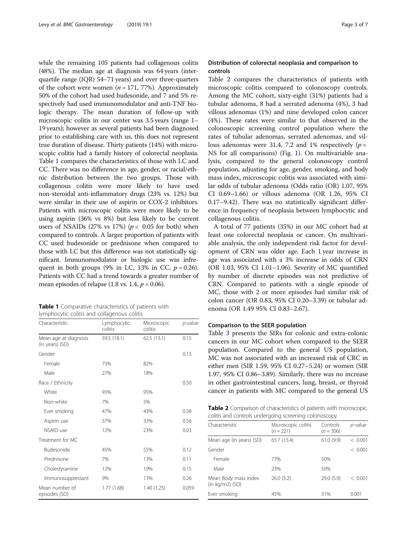while the remaining 105 patients had collagenous colitis (48%). The median age at diagnosis was 64 years (interquartile range (IQR) 54–71 years) and over three-quarters of the cohort were women ( $n = 171, 77\%$ ). Approximately 50% of the cohort had used budesonide, and 7 and 5% respectively had used immunomodulator and anti-TNF biologic therapy. The mean duration of follow-up with microscopic colitis in our center was 3.5 years (range 1– 19 years); however as several patients had been diagnosed prior to establishing care with us, this does not represent true duration of disease. Thirty patients (14%) with microscopic colitis had a family history of colorectal neoplasia. Table 1 compares the characteristics of those with LC and CC. There was no difference in age, gender, or racial/ethnic distribution between the two groups. Those with collagenous colitis were more likely to have used non-steroidal anti-inflammatory drugs (23% vs. 12%) but were similar in their use of aspirin or COX-2 inhibitors. Patients with microscopic colitis were more likely to be using aspirin (36% vs 8%) but less likely to be current users of NSAIDs (27% vs 17%) ( $p < 0.05$  for both) when compared to controls. A larger proportion of patients with CC used budesonide or prednisone when compared to those with LC but this difference was not statistically significant. Immunomodulator or biologic use was infrequent in both groups (9% in LC, 13% in CC,  $p = 0.26$ ). Patients with CC had a trend towards a greater number of mean episodes of relapse (1.8 vs. 1.4,  $p = 0.06$ ).

| <b>Table 1</b> Comparative characteristics of patients with |  |
|-------------------------------------------------------------|--|
| lymphocytic colitis and collagenous colitis                 |  |

| Characteristic                           | Lymphocytic<br>colitis | Microscopic<br>colitis | p-value |
|------------------------------------------|------------------------|------------------------|---------|
| Mean age at diagnosis<br>(in years) (SD) | 59.5 (18.1)            | 62.5(13.1)             | 0.15    |
| Gender                                   |                        |                        | 0.13    |
| Female                                   | 73%                    | 82%                    |         |
| Male                                     | 27%                    | 18%                    |         |
| Race / Ethnicity                         |                        |                        | 0.50    |
| White                                    | 93%                    | 95%                    |         |
| Non-white                                | 7%                     | 5%                     |         |
| Ever smoking                             | 47%                    | 43%                    | 0.58    |
| Aspirin use                              | 37%                    | 33%                    | 0.56    |
| NSAID use                                | 12%                    | 23%                    | 0.03    |
| Treatment for MC                         |                        |                        |         |
| Budesonide                               | 45%                    | 55%                    | 0.12    |
| Prednisone                               | 7%                     | 13%                    | 0.11    |
| Cholestyramine                           | 12%                    | 19%                    | 0.15    |
| Immunosuppressant                        | 9%                     | 13%                    | 0.26    |
| Mean number of<br>episodes (SD)          | 1.77(1.68)             | 1.40(1.25)             | 0.059   |

# Distribution of colorectal neoplasia and comparison to controls

Table 2 compares the characteristics of patients with microscopic colitis compared to colonoscopy controls. Among the MC cohort, sixty-eight (31%) patients had a tubular adenoma, 8 had a serrated adenoma (4%), 3 had villous adenomas (1%) and nine developed colon cancer (4%). These rates were similar to that observed in the colonoscopic screening control population where the rates of tubular adenomas, serrated adenomas, and villous adenomas were 31.4, 7.2 and 1% respectively ( $p =$ NS for all comparisons) (Fig. [1\)](#page-3-0). On multivariable analysis, compared to the general colonoscopy control population, adjusting for age, gender, smoking, and body mass index, microscopic colitis was associated with similar odds of tubular adenoma (Odds ratio (OR) 1.07, 95% CI 0.69–1.66) or villous adenoma (OR 1.26, 95% CI 0.17–9.42). There was no statistically significant difference in frequency of neoplasia between lymphocytic and collagenous colitis.

A total of 77 patients (35%) in our MC cohort had at least one colorectal neoplasia or cancer. On multivariable analysis, the only independent risk factor for development of CRN was older age. Each 1 year increase in age was associated with a 3% increase in odds of CRN (OR 1.03, 95% CI 1.01–1.06). Severity of MC quantified by number of discrete episodes was not predictive of CRN. Compared to patients with a single episode of MC, those with 2 or more episodes had similar risk of colon cancer (OR 0.83, 95% CI 0.20–3.39) or tubular adenoma (OR 1.49 95% CI 0.83–2.67).

# Comparison to the SEER population

Table [3](#page-3-0) presents the SIRs for colonic and extra-colonic cancers in our MC cohort when compared to the SEER population. Compared to the general US population, MC was not associated with an increased risk of CRC in either men (SIR 1.59, 95% CI 0.27–5.24) or women (SIR 1.97, 95% CI 0.86–3.89). Similarly, there was no increase in other gastrointestinal cancers, lung, breast, or thyroid cancer in patients with MC compared to the general US

Table 2 Comparison of characteristics of patients with microscopic colitis and controls undergoing screening colonoscopy

| Characteristic                            | Microscopic colitis<br>$(n = 221)$ | Controls<br>$(n = 306)$ | p-value |
|-------------------------------------------|------------------------------------|-------------------------|---------|
| Mean age (in years) (SD)                  | 65.7 (15.4)                        | 61.0(9.9)               | < 0.001 |
| Gender                                    |                                    |                         | < 0.001 |
| Female                                    | 77%                                | 50%                     |         |
| Male                                      | 23%                                | 50%                     |         |
| Mean Body mass index<br>$(in kq/m2)$ (SD) | 26.0(5.2)                          | 29.0(5.9)               | < 0.001 |
| Ever smoking                              | 45%                                | 31%                     | 0.001   |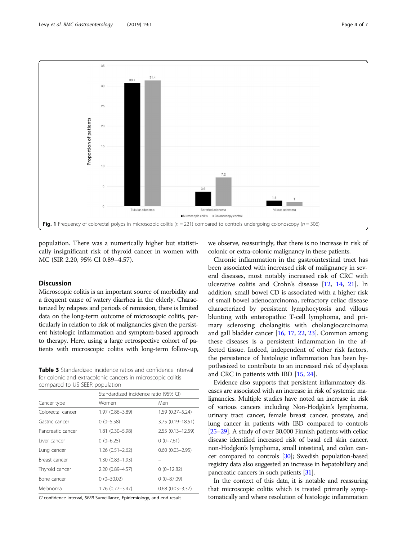<span id="page-3-0"></span>

population. There was a numerically higher but statistically insignificant risk of thyroid cancer in women with MC (SIR 2.20, 95% CI 0.89–4.57).

# **Discussion**

Microscopic colitis is an important source of morbidity and a frequent cause of watery diarrhea in the elderly. Characterized by relapses and periods of remission, there is limited data on the long-term outcome of microscopic colitis, particularly in relation to risk of malignancies given the persistent histologic inflammation and symptom-based approach to therapy. Here, using a large retrospective cohort of patients with microscopic colitis with long-term follow-up,

Table 3 Standardized incidence ratios and confidence interval for colonic and extracolonic cancers in microscopic colitis compared to US SEER population

|                   | Standardized incidence ratio (95% CI) |                     |  |
|-------------------|---------------------------------------|---------------------|--|
| Cancer type       | Women                                 | Men                 |  |
| Colorectal cancer | 1.97 (0.86-3.89)                      | $1.59(0.27 - 5.24)$ |  |
| Gastric cancer    | $0(0-5.58)$                           | 3.75 (0.19 - 18.51) |  |
| Pancreatic cancer | 1.81 (0.30-5.98)                      | 2.55 (0.13-12.59)   |  |
| Liver cancer      | $0(0-6.25)$                           | $0(0-7.61)$         |  |
| Lung cancer       | $1.26(0.51 - 2.62)$                   | $0.60(0.03 - 2.95)$ |  |
| Breast cancer     | $1.30(0.83 - 1.93)$                   |                     |  |
| Thyroid cancer    | 2.20 (0.89-4.57)                      | $0(0-12.82)$        |  |
| Bone cancer       | $0(0-30.02)$                          | $0(0 - 87.09)$      |  |
| Melanoma          | $1.76(0.77 - 3.47)$                   | $0.68(0.03 - 3.37)$ |  |

CI confidence interval, SEER Surveillance, Epidemiology, and end-result

we observe, reassuringly, that there is no increase in risk of colonic or extra-colonic malignancy in these patients.

Chronic inflammation in the gastrointestinal tract has been associated with increased risk of malignancy in several diseases, most notably increased risk of CRC with ulcerative colitis and Crohn's disease [\[12,](#page-5-0) [14,](#page-5-0) [21](#page-5-0)]. In addition, small bowel CD is associated with a higher risk of small bowel adenocarcinoma, refractory celiac disease characterized by persistent lymphocytosis and villous blunting with enteropathic T-cell lymphoma, and primary sclerosing cholangitis with cholangiocarcinoma and gall bladder cancer [\[16](#page-5-0), [17](#page-5-0), [22,](#page-5-0) [23\]](#page-5-0). Common among these diseases is a persistent inflammation in the affected tissue. Indeed, independent of other risk factors, the persistence of histologic inflammation has been hypothesized to contribute to an increased risk of dysplasia and CRC in patients with IBD [\[15](#page-5-0), [24\]](#page-5-0).

Evidence also supports that persistent inflammatory diseases are associated with an increase in risk of systemic malignancies. Multiple studies have noted an increase in risk of various cancers including Non-Hodgkin's lymphoma, urinary tract cancer, female breast cancer, prostate, and lung cancer in patients with IBD compared to controls [[25](#page-5-0)–[29](#page-5-0)]. A study of over 30,000 Finnish patients with celiac disease identified increased risk of basal cell skin cancer, non-Hodgkin's lymphoma, small intestinal, and colon cancer compared to controls [[30](#page-6-0)]; Swedish population-based registry data also suggested an increase in hepatobiliary and pancreatic cancers in such patients [[31](#page-6-0)].

In the context of this data, it is notable and reassuring that microscopic colitis which is treated primarily symptomatically and where resolution of histologic inflammation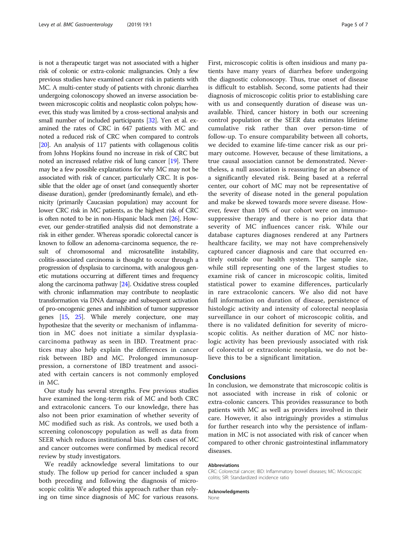is not a therapeutic target was not associated with a higher risk of colonic or extra-colonic malignancies. Only a few previous studies have examined cancer risk in patients with MC. A multi-center study of patients with chronic diarrhea undergoing colonoscopy showed an inverse association between microscopic colitis and neoplastic colon polyps; however, this study was limited by a cross-sectional analysis and small number of included participants [\[32\]](#page-6-0). Yen et al. examined the rates of CRC in 647 patients with MC and noted a reduced risk of CRC when compared to controls [[20](#page-5-0)]. An analysis of 117 patients with collagenous colitis from Johns Hopkins found no increase in risk of CRC but noted an increased relative risk of lung cancer [\[19\]](#page-5-0). There may be a few possible explanations for why MC may not be associated with risk of cancer, particularly CRC. It is possible that the older age of onset (and consequently shorter disease duration), gender (predominantly female), and ethnicity (primarily Caucasian population) may account for lower CRC risk in MC patients, as the highest risk of CRC is often noted to be in non-Hispanic black men [[26](#page-5-0)]. However, our gender-stratified analysis did not demonstrate a risk in either gender. Whereas sporadic colorectal cancer is known to follow an adenoma-carcinoma sequence, the result of chromosomal and microsatellite instability, colitis-associated carcinoma is thought to occur through a progression of dysplasia to carcinoma, with analogous genetic mutations occurring at different times and frequency along the carcinoma pathway [[24](#page-5-0)]. Oxidative stress coupled with chronic inflammation may contribute to neoplastic transformation via DNA damage and subsequent activation of pro-oncogenic genes and inhibition of tumor suppressor genes [\[15](#page-5-0), [25](#page-5-0)]. While merely conjecture, one may hypothesize that the severity or mechanism of inflammation in MC does not initiate a similar dysplasiacarcinoma pathway as seen in IBD. Treatment practices may also help explain the differences in cancer risk between IBD and MC. Prolonged immunosuppression, a cornerstone of IBD treatment and associated with certain cancers is not commonly employed in MC.

Our study has several strengths. Few previous studies have examined the long-term risk of MC and both CRC and extracolonic cancers. To our knowledge, there has also not been prior examination of whether severity of MC modified such as risk. As controls, we used both a screening colonoscopy population as well as data from SEER which reduces institutional bias. Both cases of MC and cancer outcomes were confirmed by medical record review by study investigators.

We readily acknowledge several limitations to our study. The follow up period for cancer included a span both preceding and following the diagnosis of microscopic colitis We adopted this approach rather than relying on time since diagnosis of MC for various reasons.

First, microscopic colitis is often insidious and many patients have many years of diarrhea before undergoing the diagnostic colonoscopy. Thus, true onset of disease is difficult to establish. Second, some patients had their diagnosis of microscopic colitis prior to establishing care with us and consequently duration of disease was unavailable. Third, cancer history in both our screening control population or the SEER data estimates lifetime cumulative risk rather than over person-time of follow-up. To ensure comparability between all cohorts, we decided to examine life-time cancer risk as our primary outcome. However, because of these limitations, a true causal association cannot be demonstrated. Nevertheless, a null association is reassuring for an absence of a significantly elevated risk. Being based at a referral center, our cohort of MC may not be representative of the severity of disease noted in the general population and make be skewed towards more severe disease. However, fewer than 10% of our cohort were on immunosuppressive therapy and there is no prior data that severity of MC influences cancer risk. While our database captures diagnoses rendered at any Partners healthcare facility, we may not have comprehensively captured cancer diagnosis and care that occurred entirely outside our health system. The sample size, while still representing one of the largest studies to examine risk of cancer in microscopic colitis, limited statistical power to examine differences, particularly in rare extracolonic cancers. We also did not have full information on duration of disease, persistence of histologic activity and intensity of colorectal neoplasia surveillance in our cohort of microscopic colitis, and there is no validated definition for severity of microscopic colitis. As neither duration of MC nor histologic activity has been previously associated with risk of colorectal or extracolonic neoplasia, we do not believe this to be a significant limitation.

## Conclusions

In conclusion, we demonstrate that microscopic colitis is not associated with increase in risk of colonic or extra-colonic cancers. This provides reassurance to both patients with MC as well as providers involved in their care. However, it also intriguingly provides a stimulus for further research into why the persistence of inflammation in MC is not associated with risk of cancer when compared to other chronic gastrointestinal inflammatory diseases.

#### Abbreviations

CRC: Colorectal cancer; IBD: Inflammatory bowel diseases; MC: Microscopic colitis; SIR: Standardized incidence ratio

#### Acknowledgments

None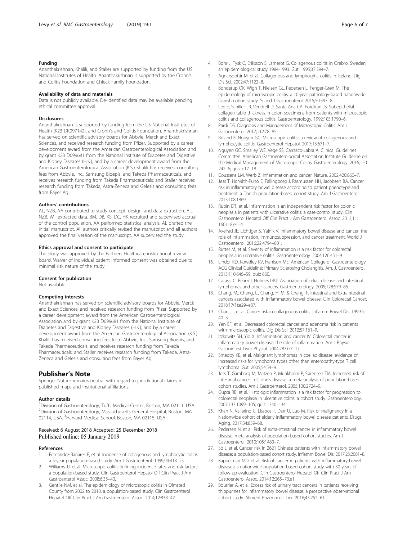#### <span id="page-5-0"></span>Funding

Ananthakrishnan, Khalili, and Staller are supported by funding from the US National Institutes of Health. Ananthakrishnan is supported by the Crohn's and Colitis Foundation and Chleck Family Foundation.

#### Availability of data and materials

Data is not publicly available. De-identified data may be available pending ethical committee approval.

#### Disclosures

Ananthakrishnan is supported by funding from the US National Institutes of Health (K23 DK097142), and Crohn's and Colitis Foundation. Ananthakrishnan has served on scientific advisory boards for Abbvie, Merck and Exact Sciences, and received research funding from Pfizer. Supported by a career development award from the American Gastroenterological Association and by grant K23 D099681 from the National Institute of Diabetes and Digestive and Kidney Diseases (H.K.); and by a career development award from the American Gastroenterological Association (K.S.) Khalili has received consulting fees from Abbvie, Inc., Samsung Bioepis, and Takeda Pharmaceuticals, and receives research funding from Takeda Pharmaceuticals; and Staller receives research funding from Takeda, Astra-Zeneca and Gelesis and consulting fees from Bayer Ag.

#### Authors' contributions

AL, NZB, AA contributed to study concept, design, and data extraction. AL, NZB, WT extracted data. BM, DB, KS, DC, HK recruited and supervised accrual of the control population. AA performed statistical analysis. AL drafted the initial manuscript. All authors critically revised the manuscript and all authors approved the final version of the manuscript. AA supervised the study.

#### Ethics approval and consent to participate

The study was approved by the Partners Healthcare institutional review board. Waiver of individual patient informed consent was obtained due to minimal risk nature of the study.

#### Consent for publication

Not available.

#### Competing interests

Ananthakrishnan has served on scientific advisory boards for Abbvie, Merck and Exact Sciences, and received research funding from Pfizer. Supported by a career development award from the American Gastroenterological Association and by grant K23 D099681 from the National Institute of Diabetes and Digestive and Kidney Diseases (H.K.); and by a career development award from the American Gastroenterological Association (K.S.) Khalili has received consulting fees from Abbvie, Inc., Samsung Bioepis, and Takeda Pharmaceuticals, and receives research funding from Takeda Pharmaceuticals; and Staller receives research funding from Takeda, Astra-Zeneca and Gelesis and consulting fees from Bayer Ag.

#### Publisher's Note

Springer Nature remains neutral with regard to jurisdictional claims in published maps and institutional affiliations.

#### Author details

<sup>1</sup> Division of Gastroenterology, Tufts Medical Center, Boston, MA 02111, USA. 2 Division of Gastroenterology, Massachusetts General Hospital, Boston, MA 02114, USA. <sup>3</sup> Harvard Medical School, Boston, MA 02115, USA.

#### Received: 6 August 2018 Accepted: 25 December 2018 Published online: 05 January 2019

#### References

- 1. Fernández-Bañares F, et al. Incidence of collagenous and lymphocytic colitis: a 5-year population-based study. Am J Gastroenterol. 1999;94:418–23.
- 2. Williams JJ, et al. Microscopic colitis-defining incidence rates and risk factors: a population-based study. Clin Gastroenterol Hepatol Off Clin Pract J Am Gastroenterol Assoc. 2008;6:35–40.
- 3. Gentile NM, et al. The epidemiology of microscopic colitis in Olmsted County from 2002 to 2010: a population-based study. Clin Gastroenterol Hepatol Off Clin Pract J Am Gastroenterol Assoc. 2014;12:838–42.
- 4. Bohr J, Tysk C, Eriksson S, Järnerot G. Collagenous colitis in Orebro, Sweden, an epidemiological study 1984-1993. Gut. 1995;37:394–7.
- 5. Agnarsdottir M, et al. Collagenous and lymphocytic colitis in Iceland. Dig Dis Sci. 2002;47:1122–8.
- 6. Bonderup OK, Wigh T, Nielsen GL, Pedersen L, Fenger-Grøn M. The epidemiology of microscopic colitis: a 10-year pathology-based nationwide Danish cohort study. Scand J Gastroenterol. 2015;50:393–8.
- 7. Lee E, Schiller LR, Vendrell D, Santa Ana CA, Fordtran JS. Subepithelial collagen table thickness in colon specimens from patients with microscopic colitis and collagenous colitis. Gastroenterology. 1992;103:1790–6.
- 8. Pardi DS. Diagnosis and Management of Microscopic Colitis. Am J Gastroenterol. 2017;112:78–85.
- 9. Boland K, Nguyen GC. Microscopic colitis: a review of collagenous and lymphocytic colitis. Gastroenterol Hepatol. 2017;13:671–7.
- 10. Nguyen GC, Smalley WE, Vege SS, Carrasco-Labra A. Clinical Guidelines Committee. American Gastroenterological Association Institute Guideline on the Medical Management of Microscopic Colitis. Gastroenterology. 2016;150: 242–6; quiz e17–18.
- 11. Coussens LM, Werb Z. Inflammation and cancer. Nature. 2002;420:860–7.
- 12. Jess T, Horváth-Puhó E, Fallingborg J, Rasmussen HH, Jacobsen BA. Cancer risk in inflammatory bowel disease according to patient phenotype and treatment: a Danish population-based cohort study. Am J Gastroenterol. 2013;108:1869.
- 13. Rubin DT, et al. Inflammation is an independent risk factor for colonic neoplasia in patients with ulcerative colitis: a case-control study. Clin Gastroenterol Hepatol Off Clin Pract J Am Gastroenterol Assoc. 2013;11: 1601–8.e1–4.
- 14. Axelrad JE, Lichtiger S, Yajnik V. Inflammatory bowel disease and cancer: the role of inflammation, immunosuppression, and cancer treatment. World J Gastroenterol. 2016;22:4794–801.
- 15. Rutter M, et al. Severity of inflammation is a risk factor for colorectal neoplasia in ulcerative colitis. Gastroenterology. 2004;126:451–9.
- 16. Lindor KD, Kowdley KV, Harrison ME. American College of Gastroenterology. ACG Clinical Guideline: Primary Sclerosing Cholangitis. Am. J. Gastroenterol. 2015;110:646–59; quiz 660.
- 17. Catassi C, Bearzi I, Holmes GKT. Association of celiac disease and intestinal lymphomas and other cancers. Gastroenterology. 2005;128:S79–86.
- 18. Chang, M., Chang, L., Chang, H. M. & Chang, F. Intestinal and Extraintestinal cancers associated with inflammatory bowel disease. Clin Colorectal Cancer. 2018;17(1):e29–e37.
- 19. Chan JL, et al. Cancer risk in collagenous colitis. Inflamm Bowel Dis. 1999;5:  $40 - 3$
- 20. Yen EF, et al. Decreased colorectal cancer and adenoma risk in patients with microscopic colitis. Dig Dis Sci. 2012;57:161–9.
- 21. Itzkowitz SH, Yio X. Inflammation and cancer IV. Colorectal cancer in inflammatory bowel disease: the role of inflammation. Am J Physiol Gastrointest Liver Physiol. 2004;287:G7–17.
- 22. Smedby KE, et al. Malignant lymphomas in coeliac disease: evidence of increased risks for lymphoma types other than enteropathy-type T cell lymphoma. Gut. 2005;54:54–9.
- 23. Jess T, Gamborg M, Matzen P, Munkholm P, Sørensen TIA. Increased risk of intestinal cancer in Crohn's disease: a meta-analysis of population-based cohort studies. Am J Gastroenterol. 2005;100:2724–9.
- 24. Gupta RB, et al. Histologic inflammation is a risk factor for progression to colorectal neoplasia in ulcerative colitis: a cohort study. Gastroenterology. 2007;133:1099–105; quiz 1340–1341.
- 25. Khan N, Vallarino C, Lissoos T, Darr U, Luo M. Risk of malignancy in a Nationwide cohort of elderly inflammatory bowel disease patients. Drugs Aging. 2017;34:859–68.
- 26. Pedersen N, et al. Risk of extra-intestinal cancer in inflammatory bowel disease: meta-analysis of population-based cohort studies. Am J Gastroenterol. 2010;105:1480–7.
- 27. So J, et al. Cancer risk in 2621 Chinese patients with inflammatory bowel disease: a population-based cohort study. Inflamm Bowel Dis. 2017;23:2061–8.
- 28. Kappelman MD, et al. Risk of cancer in patients with inflammatory bowel diseases: a nationwide population-based cohort study with 30 years of follow-up evaluation. Clin Gastroenterol Hepatol Off Clin Pract J Am Gastroenterol Assoc. 2014;12:265–73.e1.
- 29. Bourrier A, et al. Excess risk of urinary tract cancers in patients receiving thiopurines for inflammatory bowel disease: a prospective observational cohort study. Aliment Pharmacol Ther. 2016;43:252–61.